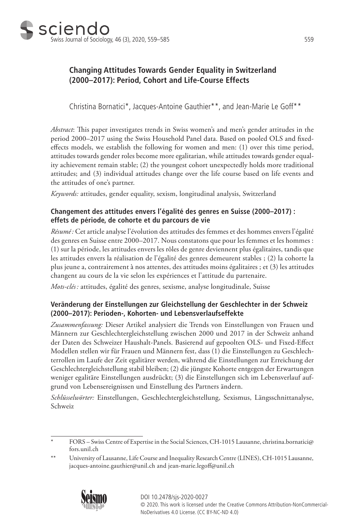

# **Changing Attitudes Towards Gender Equality in Switzerland (2000–2017): Period, Cohort and Life-Course Effects**

Christina Bornatici\*, Jacques-Antoine Gauthier\*\*, and Jean-Marie Le Goff\*\*

*Abstract*: This paper investigates trends in Swiss women's and men's gender attitudes in the period 2000–2017 using the Swiss Household Panel data. Based on pooled OLS and fixedeffects models, we establish the following for women and men: (1) over this time period, attitudes towards gender roles become more egalitarian, while attitudes towards gender equality achievement remain stable; (2) the youngest cohort unexpectedly holds more traditional attitudes; and (3) individual attitudes change over the life course based on life events and the attitudes of one's partner.

*Keywords:* attitudes, gender equality, sexism, longitudinal analysis, Switzerland

## **Changement des attitudes envers l'égalité des genres en Suisse (2000–2017) : effets de période, de cohorte et du parcours de vie**

*Résumé:* Cet article analyse l'évolution des attitudes des femmes et des hommes envers l'égalité des genres en Suisse entre 2000–2017. Nous constatons que pour les femmes et les hommes : (1) sur la période, les attitudes envers les rôles de genre deviennent plus égalitaires, tandis que les attitudes envers la réalisation de l'égalité des genres demeurent stables ; (2) la cohorte la plus jeune a, contrairement à nos attentes, des attitudes moins égalitaires ; et (3) les attitudes changent au cours de la vie selon les expériences et l'attitude du partenaire.

*Mots-clés :* attitudes, égalité des genres, sexisme, analyse longitudinale, Suisse

## **Veränderung der Einstellungen zur Gleichstellung der Geschlechter in der Schweiz (2000–2017): Perioden-, Kohorten- und Lebensverlaufseffekte**

*Zusammenfassung:* Dieser Artikel analysiert die Trends von Einstellungen von Frauen und Männern zur Geschlechtergleichstellung zwischen 2000 und 2017 in der Schweiz anhand der Daten des Schweizer Haushalt-Panels. Basierend auf gepoolten OLS- und Fixed-Effect Modellen stellen wir für Frauen und Männern fest, dass (1) die Einstellungen zu Geschlechterrollen im Laufe der Zeit egalitärer werden, während die Einstellungen zur Erreichung der Geschlechtergleichstellung stabil bleiben; (2) die jüngste Kohorte entgegen der Erwartungen weniger egalitäre Einstellungen ausdrückt; (3) die Einstellungen sich im Lebensverlauf aufgrund von Lebensereignissen und Einstellung des Partners ändern.

*Schlüsselwörter:* Einstellungen, Geschlechtergleichstellung, Sexismus, Längsschnittanalyse, Schweiz

<sup>\*\*</sup> University of Lausanne, Life Course and Inequality Research Centre (LINES), CH-1015 Lausanne, jacques-antoine.gauthier@unil.ch and jean-marie.legoff@unil.ch



<sup>\*</sup> FORS – Swiss Centre of Expertise in the Social Sciences, CH-1015 Lausanne, christina.bornatici@ fors.unil.ch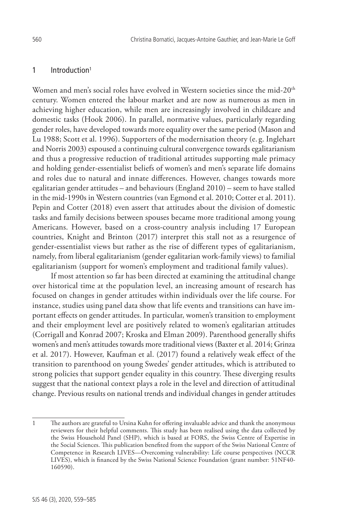## 1 Introduction<sup>1</sup>

Women and men's social roles have evolved in Western societies since the mid-20<sup>th</sup> century. Women entered the labour market and are now as numerous as men in achieving higher education, while men are increasingly involved in childcare and domestic tasks (Hook 2006). In parallel, normative values, particularly regarding gender roles, have developed towards more equality over the same period (Mason and Lu 1988; Scott et al. 1996). Supporters of the modernisation theory (e. g. Inglehart and Norris 2003) espoused a continuing cultural convergence towards egalitarianism and thus a progressive reduction of traditional attitudes supporting male primacy and holding gender-essentialist beliefs of women's and men's separate life domains and roles due to natural and innate differences. However, changes towards more egalitarian gender attitudes – and behaviours (England 2010) – seem to have stalled in the mid-1990s in Western countries (van Egmond et al. 2010; Cotter et al. 2011). Pepin and Cotter (2018) even assert that attitudes about the division of domestic tasks and family decisions between spouses became more traditional among young Americans. However, based on a cross-country analysis including 17 European countries, Knight and Brinton (2017) interpret this stall not as a resurgence of gender-essentialist views but rather as the rise of different types of egalitarianism, namely, from liberal egalitarianism (gender egalitarian work-family views) to familial egalitarianism (support for women's employment and traditional family values).

If most attention so far has been directed at examining the attitudinal change over historical time at the population level, an increasing amount of research has focused on changes in gender attitudes within individuals over the life course. For instance, studies using panel data show that life events and transitions can have important effects on gender attitudes. In particular, women's transition to employment and their employment level are positively related to women's egalitarian attitudes (Corrigall and Konrad 2007; Kroska and Elman 2009). Parenthood generally shifts women's and men's attitudes towards more traditional views (Baxter et al. 2014; Grinza et al. 2017). However, Kaufman et al. (2017) found a relatively weak effect of the transition to parenthood on young Swedes' gender attitudes, which is attributed to strong policies that support gender equality in this country. These diverging results suggest that the national context plays a role in the level and direction of attitudinal change. Previous results on national trends and individual changes in gender attitudes

<sup>1</sup> The authors are grateful to Ursina Kuhn for offering invaluable advice and thank the anonymous reviewers for their helpful comments. This study has been realised using the data collected by the Swiss Household Panel (SHP), which is based at FORS, the Swiss Centre of Expertise in the Social Sciences. This publication benefited from the support of the Swiss National Centre of Competence in Research LIVES—Overcoming vulnerability: Life course perspectives (NCCR LIVES), which is financed by the Swiss National Science Foundation (grant number: 51NF40- 160590).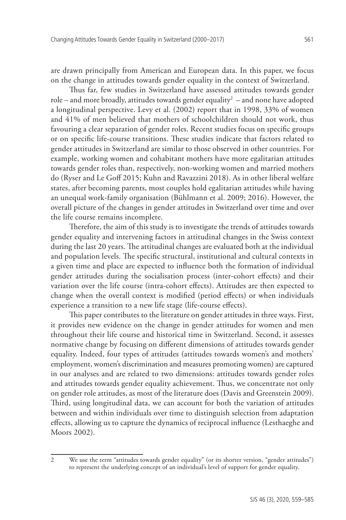are drawn principally from American and European data. In this paper, we focus on the change in attitudes towards gender equality in the context of Switzerland.

Thus far, few studies in Switzerland have assessed attitudes towards gender  $role$  – and more broadly, attitudes towards gender equality<sup>2</sup> – and none have adopted a longitudinal perspective. Levy et al. (2002) report that in 1998, 33% of women and 41% of men believed that mothers of schoolchildren should not work, thus favouring a clear separation of gender roles. Recent studies focus on specific groups or on specific life-course transitions. These studies indicate that factors related to gender attitudes in Switzerland are similar to those observed in other countries. For example, working women and cohabitant mothers have more egalitarian attitudes towards gender roles than, respectively, non-working women and married mothers do (Ryser and Le Goff 2015; Kuhn and Ravazzini 2018). As in other liberal welfare states, after becoming parents, most couples hold egalitarian attitudes while having an unequal work-family organisation (Bühlmann et al. 2009; 2016). However, the overall picture of the changes in gender attitudes in Switzerland over time and over the life course remains incomplete.

Therefore, the aim of this study is to investigate the trends of attitudes towards gender equality and intervening factors in attitudinal changes in the Swiss context during the last 20 years. The attitudinal changes are evaluated both at the individual and population levels. The specific structural, institutional and cultural contexts in a given time and place are expected to influence both the formation of individual gender attitudes during the socialisation process (inter-cohort effects) and their variation over the life course (intra-cohort effects). Attitudes are then expected to change when the overall context is modified (period effects) or when individuals experience a transition to a new life stage (life-course effects).

This paper contributes to the literature on gender attitudes in three ways. First, it provides new evidence on the change in gender attitudes for women and men throughout their life course and historical time in Switzerland. Second, it assesses normative change by focusing on different dimensions of attitudes towards gender equality. Indeed, four types of attitudes (attitudes towards women's and mothers' employment, women's discrimination and measures promoting women) are captured in our analyses and are related to two dimensions: attitudes towards gender roles and attitudes towards gender equality achievement. Thus, we concentrate not only on gender role attitudes, as most of the literature does (Davis and Greenstein 2009). Third, using longitudinal data, we can account for both the variation of attitudes between and within individuals over time to distinguish selection from adaptation effects, allowing us to capture the dynamics of reciprocal influence (Lesthaeghe and Moors 2002).

<sup>2</sup> We use the term "attitudes towards gender equality" (or its shorter version, "gender attitudes") to represent the underlying concept of an individual's level of support for gender equality.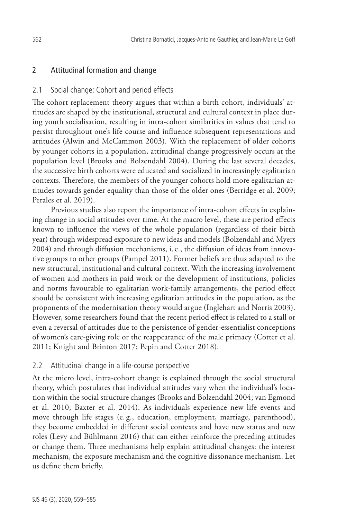## 2 Attitudinal formation and change

### 2.1 Social change: Cohort and period effects

The cohort replacement theory argues that within a birth cohort, individuals' attitudes are shaped by the institutional, structural and cultural context in place during youth socialisation, resulting in intra-cohort similarities in values that tend to persist throughout one's life course and influence subsequent representations and attitudes (Alwin and McCammon 2003). With the replacement of older cohorts by younger cohorts in a population, attitudinal change progressively occurs at the population level (Brooks and Bolzendahl 2004). During the last several decades, the successive birth cohorts were educated and socialized in increasingly egalitarian contexts. Therefore, the members of the younger cohorts hold more egalitarian attitudes towards gender equality than those of the older ones (Berridge et al. 2009; Perales et al. 2019).

Previous studies also report the importance of intra-cohort effects in explaining change in social attitudes over time. At the macro level, these are period effects known to influence the views of the whole population (regardless of their birth year) through widespread exposure to new ideas and models (Bolzendahl and Myers 2004) and through diffusion mechanisms, i.e., the diffusion of ideas from innovative groups to other groups (Pampel 2011). Former beliefs are thus adapted to the new structural, institutional and cultural context. With the increasing involvement of women and mothers in paid work or the development of institutions, policies and norms favourable to egalitarian work-family arrangements, the period effect should be consistent with increasing egalitarian attitudes in the population, as the proponents of the modernisation theory would argue (Inglehart and Norris 2003). However, some researchers found that the recent period effect is related to a stall or even a reversal of attitudes due to the persistence of gender-essentialist conceptions of women's care-giving role or the reappearance of the male primacy (Cotter et al. 2011; Knight and Brinton 2017; Pepin and Cotter 2018).

#### 2.2 Attitudinal change in a life-course perspective

At the micro level, intra-cohort change is explained through the social structural theory, which postulates that individual attitudes vary when the individual's location within the social structure changes (Brooks and Bolzendahl 2004; van Egmond et al. 2010; Baxter et al. 2014). As individuals experience new life events and move through life stages (e. g., education, employment, marriage, parenthood), they become embedded in different social contexts and have new status and new roles (Levy and Bühlmann 2016) that can either reinforce the preceding attitudes or change them. Three mechanisms help explain attitudinal changes: the interest mechanism, the exposure mechanism and the cognitive dissonance mechanism. Let us define them briefly.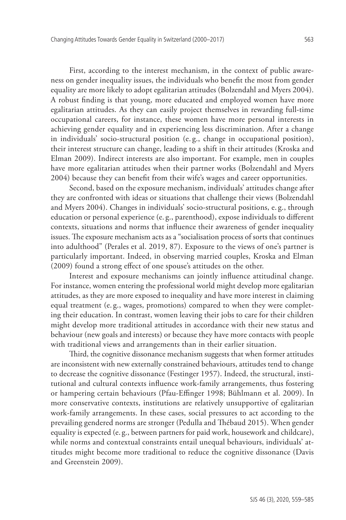First, according to the interest mechanism, in the context of public awareness on gender inequality issues, the individuals who benefit the most from gender equality are more likely to adopt egalitarian attitudes (Bolzendahl and Myers 2004). A robust finding is that young, more educated and employed women have more egalitarian attitudes. As they can easily project themselves in rewarding full-time occupational careers, for instance, these women have more personal interests in achieving gender equality and in experiencing less discrimination. After a change in individuals' socio-structural position (e. g., change in occupational position), their interest structure can change, leading to a shift in their attitudes (Kroska and Elman 2009). Indirect interests are also important. For example, men in couples have more egalitarian attitudes when their partner works (Bolzendahl and Myers 2004) because they can benefit from their wife's wages and career opportunities.

Second, based on the exposure mechanism, individuals' attitudes change after they are confronted with ideas or situations that challenge their views (Bolzendahl and Myers 2004). Changes in individuals' socio-structural positions, e. g., through education or personal experience (e. g., parenthood), expose individuals to different contexts, situations and norms that influence their awareness of gender inequality issues. The exposure mechanism acts as a "socialisation process of sorts that continues into adulthood" (Perales et al. 2019, 87). Exposure to the views of one's partner is particularly important. Indeed, in observing married couples, Kroska and Elman (2009) found a strong effect of one spouse's attitudes on the other.

Interest and exposure mechanisms can jointly influence attitudinal change. For instance, women entering the professional world might develop more egalitarian attitudes, as they are more exposed to inequality and have more interest in claiming equal treatment (e. g., wages, promotions) compared to when they were completing their education. In contrast, women leaving their jobs to care for their children might develop more traditional attitudes in accordance with their new status and behaviour (new goals and interests) or because they have more contacts with people with traditional views and arrangements than in their earlier situation.

Third, the cognitive dissonance mechanism suggests that when former attitudes are inconsistent with new externally constrained behaviours, attitudes tend to change to decrease the cognitive dissonance (Festinger 1957). Indeed, the structural, institutional and cultural contexts influence work-family arrangements, thus fostering or hampering certain behaviours (Pfau‐Effinger 1998; Bühlmann et al. 2009). In more conservative contexts, institutions are relatively unsupportive of egalitarian work-family arrangements. In these cases, social pressures to act according to the prevailing gendered norms are stronger (Pedulla and Thébaud 2015). When gender equality is expected (e. g., between partners for paid work, housework and childcare), while norms and contextual constraints entail unequal behaviours, individuals' attitudes might become more traditional to reduce the cognitive dissonance (Davis and Greenstein 2009).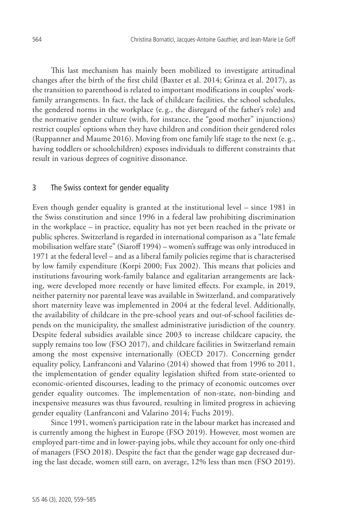This last mechanism has mainly been mobilized to investigate attitudinal changes after the birth of the first child (Baxter et al. 2014; Grinza et al. 2017), as the transition to parenthood is related to important modifications in couples' workfamily arrangements. In fact, the lack of childcare facilities, the school schedules, the gendered norms in the workplace (e. g., the disregard of the father's role) and the normative gender culture (with, for instance, the "good mother" injunctions) restrict couples' options when they have children and condition their gendered roles (Ruppanner and Maume 2016). Moving from one family life stage to the next (e. g., having toddlers or schoolchildren) exposes individuals to different constraints that result in various degrees of cognitive dissonance.

#### 3 The Swiss context for gender equality

Even though gender equality is granted at the institutional level – since 1981 in the Swiss constitution and since 1996 in a federal law prohibiting discrimination in the workplace – in practice, equality has not yet been reached in the private or public spheres. Switzerland is regarded in international comparison as a "late female mobilisation welfare state" (Siaroff 1994) – women's suffrage was only introduced in 1971 at the federal level – and as a liberal family policies regime that is characterised by low family expenditure (Korpi 2000; Fux 2002). This means that policies and institutions favouring work-family balance and egalitarian arrangements are lacking, were developed more recently or have limited effects. For example, in 2019, neither paternity nor parental leave was available in Switzerland, and comparatively short maternity leave was implemented in 2004 at the federal level. Additionally, the availability of childcare in the pre-school years and out-of-school facilities depends on the municipality, the smallest administrative jurisdiction of the country. Despite federal subsidies available since 2003 to increase childcare capacity, the supply remains too low (FSO 2017), and childcare facilities in Switzerland remain among the most expensive internationally (OECD 2017). Concerning gender equality policy, Lanfranconi and Valarino (2014) showed that from 1996 to 2011, the implementation of gender equality legislation shifted from state-oriented to economic-oriented discourses, leading to the primacy of economic outcomes over gender equality outcomes. The implementation of non-state, non-binding and inexpensive measures was thus favoured, resulting in limited progress in achieving gender equality (Lanfranconi and Valarino 2014; Fuchs 2019).

Since 1991, women's participation rate in the labour market has increased and is currently among the highest in Europe (FSO 2019). However, most women are employed part-time and in lower-paying jobs, while they account for only one-third of managers (FSO 2018). Despite the fact that the gender wage gap decreased during the last decade, women still earn, on average, 12% less than men (FSO 2019).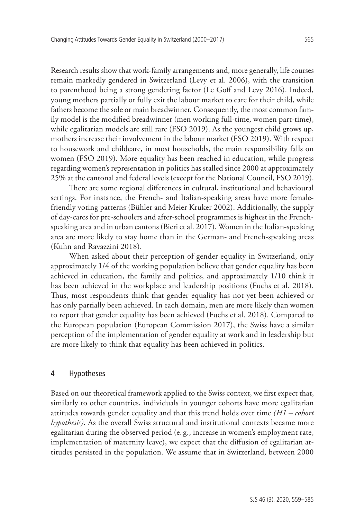Research results show that work-family arrangements and, more generally, life courses remain markedly gendered in Switzerland (Levy et al. 2006), with the transition to parenthood being a strong gendering factor (Le Goff and Levy 2016). Indeed, young mothers partially or fully exit the labour market to care for their child, while fathers become the sole or main breadwinner. Consequently, the most common family model is the modified breadwinner (men working full-time, women part-time), while egalitarian models are still rare (FSO 2019). As the youngest child grows up, mothers increase their involvement in the labour market (FSO 2019). With respect to housework and childcare, in most households, the main responsibility falls on women (FSO 2019). More equality has been reached in education, while progress regarding women's representation in politics has stalled since 2000 at approximately 25% at the cantonal and federal levels (except for the National Council, FSO 2019).

There are some regional differences in cultural, institutional and behavioural settings. For instance, the French- and Italian-speaking areas have more femalefriendly voting patterns (Bühler and Meier Kruker 2002). Additionally, the supply of day-cares for pre-schoolers and after-school programmes is highest in the Frenchspeaking area and in urban cantons (Bieri et al. 2017). Women in the Italian-speaking area are more likely to stay home than in the German- and French-speaking areas (Kuhn and Ravazzini 2018).

When asked about their perception of gender equality in Switzerland, only approximately 1/4 of the working population believe that gender equality has been achieved in education, the family and politics, and approximately 1/10 think it has been achieved in the workplace and leadership positions (Fuchs et al. 2018). Thus, most respondents think that gender equality has not yet been achieved or has only partially been achieved. In each domain, men are more likely than women to report that gender equality has been achieved (Fuchs et al. 2018). Compared to the European population (European Commission 2017), the Swiss have a similar perception of the implementation of gender equality at work and in leadership but are more likely to think that equality has been achieved in politics.

#### 4 Hypotheses

Based on our theoretical framework applied to the Swiss context, we first expect that, similarly to other countries, individuals in younger cohorts have more egalitarian attitudes towards gender equality and that this trend holds over time *(H1 – cohort hypothesis)*. As the overall Swiss structural and institutional contexts became more egalitarian during the observed period (e. g., increase in women's employment rate, implementation of maternity leave), we expect that the diffusion of egalitarian attitudes persisted in the population. We assume that in Switzerland, between 2000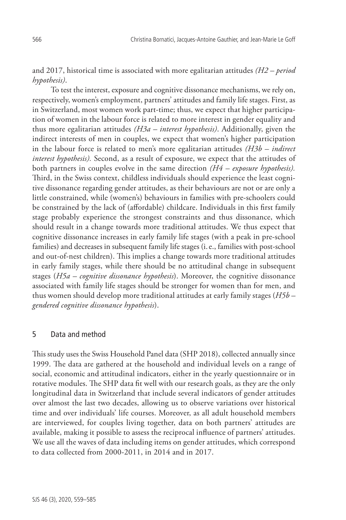and 2017, historical time is associated with more egalitarian attitudes *(H2 – period hypothesis)*.

To test the interest, exposure and cognitive dissonance mechanisms, we rely on, respectively, women's employment, partners' attitudes and family life stages. First, as in Switzerland, most women work part-time; thus, we expect that higher participation of women in the labour force is related to more interest in gender equality and thus more egalitarian attitudes *(H3a – interest hypothesis)*. Additionally, given the indirect interests of men in couples, we expect that women's higher participation in the labour force is related to men's more egalitarian attitudes *(H3b – indirect interest hypothesis).* Second, as a result of exposure, we expect that the attitudes of both partners in couples evolve in the same direction *(H4 – exposure hypothesis).*  Third, in the Swiss context, childless individuals should experience the least cognitive dissonance regarding gender attitudes, as their behaviours are not or are only a little constrained, while (women's) behaviours in families with pre-schoolers could be constrained by the lack of (affordable) childcare. Individuals in this first family stage probably experience the strongest constraints and thus dissonance, which should result in a change towards more traditional attitudes. We thus expect that cognitive dissonance increases in early family life stages (with a peak in pre-school families) and decreases in subsequent family life stages (i.e., families with post-school and out-of-nest children). This implies a change towards more traditional attitudes in early family stages, while there should be no attitudinal change in subsequent stages (*H5a – cognitive dissonance hypothesis*). Moreover, the cognitive dissonance associated with family life stages should be stronger for women than for men, and thus women should develop more traditional attitudes at early family stages (*H5b – gendered cognitive dissonance hypothesis*).

### 5 Data and method

This study uses the Swiss Household Panel data (SHP 2018), collected annually since 1999. The data are gathered at the household and individual levels on a range of social, economic and attitudinal indicators, either in the yearly questionnaire or in rotative modules. The SHP data fit well with our research goals, as they are the only longitudinal data in Switzerland that include several indicators of gender attitudes over almost the last two decades, allowing us to observe variations over historical time and over individuals' life courses. Moreover, as all adult household members are interviewed, for couples living together, data on both partners' attitudes are available, making it possible to assess the reciprocal influence of partners' attitudes. We use all the waves of data including items on gender attitudes, which correspond to data collected from 2000-2011, in 2014 and in 2017.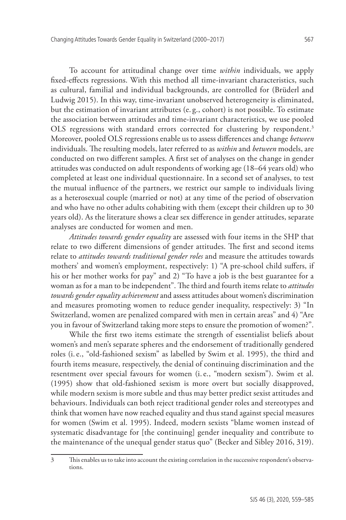To account for attitudinal change over time *within* individuals, we apply fixed-effects regressions. With this method all time-invariant characteristics, such as cultural, familial and individual backgrounds, are controlled for (Brüderl and Ludwig 2015). In this way, time-invariant unobserved heterogeneity is eliminated, but the estimation of invariant attributes (e. g., cohort) is not possible. To estimate the association between attitudes and time-invariant characteristics, we use pooled OLS regressions with standard errors corrected for clustering by respondent.<sup>3</sup> Moreover, pooled OLS regressions enable us to assess differences and change *between* individuals. The resulting models, later referred to as *within* and *between* models, are conducted on two different samples. A first set of analyses on the change in gender attitudes was conducted on adult respondents of working age (18–64 years old) who completed at least one individual questionnaire. In a second set of analyses, to test the mutual influence of the partners, we restrict our sample to individuals living as a heterosexual couple (married or not) at any time of the period of observation and who have no other adults cohabiting with them (except their children up to 30 years old). As the literature shows a clear sex difference in gender attitudes, separate analyses are conducted for women and men.

*Attitudes towards gender equality* are assessed with four items in the SHP that relate to two different dimensions of gender attitudes. The first and second items relate to *attitudes towards traditional gender roles* and measure the attitudes towards mothers' and women's employment, respectively: 1) "A pre-school child suffers, if his or her mother works for pay" and 2) "To have a job is the best guarantee for a woman as for a man to be independent". The third and fourth items relate to *attitudes towards gender equality achievement* and assess attitudes about women's discrimination and measures promoting women to reduce gender inequality, respectively: 3) "In Switzerland, women are penalized compared with men in certain areas" and 4) "Are you in favour of Switzerland taking more steps to ensure the promotion of women?".

While the first two items estimate the strength of essentialist beliefs about women's and men's separate spheres and the endorsement of traditionally gendered roles (i.e., "old-fashioned sexism" as labelled by Swim et al. 1995), the third and fourth items measure, respectively, the denial of continuing discrimination and the resentment over special favours for women (i.e., "modern sexism"). Swim et al. (1995) show that old-fashioned sexism is more overt but socially disapproved, while modern sexism is more subtle and thus may better predict sexist attitudes and behaviours. Individuals can both reject traditional gender roles and stereotypes and think that women have now reached equality and thus stand against special measures for women (Swim et al. 1995). Indeed, modern sexists "blame women instead of systematic disadvantage for [the continuing] gender inequality and contribute to the maintenance of the unequal gender status quo" (Becker and Sibley 2016, 319).

<sup>3</sup> This enables us to take into account the existing correlation in the successive respondent's observations.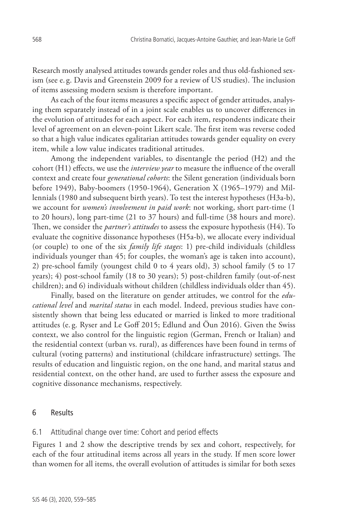Research mostly analysed attitudes towards gender roles and thus old-fashioned sexism (see e. g. Davis and Greenstein 2009 for a review of US studies). The inclusion of items assessing modern sexism is therefore important.

As each of the four items measures a specific aspect of gender attitudes, analysing them separately instead of in a joint scale enables us to uncover differences in the evolution of attitudes for each aspect. For each item, respondents indicate their level of agreement on an eleven-point Likert scale. The first item was reverse coded so that a high value indicates egalitarian attitudes towards gender equality on every item, while a low value indicates traditional attitudes.

Among the independent variables, to disentangle the period (H2) and the cohort (H1) effects, we use the *interview year* to measure the influence of the overall context and create four *generational cohorts*: the Silent generation (individuals born before 1949), Baby-boomers (1950-1964), Generation X (1965–1979) and Millennials (1980 and subsequent birth years). To test the interest hypotheses (H3a-b), we account for *women's involvement in paid work*: not working, short part-time (1 to 20 hours), long part-time (21 to 37 hours) and full-time (38 hours and more). Then, we consider the *partner's attitudes* to assess the exposure hypothesis (H4). To evaluate the cognitive dissonance hypotheses (H5a-b), we allocate every individual (or couple) to one of the six *family life stages*: 1) pre-child individuals (childless individuals younger than 45; for couples, the woman's age is taken into account), 2) pre-school family (youngest child 0 to 4 years old), 3) school family (5 to 17 years); 4) post-school family (18 to 30 years); 5) post-children family (out-of-nest children); and 6) individuals without children (childless individuals older than 45).

Finally, based on the literature on gender attitudes, we control for the *educational level* and *marital status* in each model. Indeed, previous studies have consistently shown that being less educated or married is linked to more traditional attitudes (e. g. Ryser and Le Goff 2015; Edlund and Öun 2016). Given the Swiss context, we also control for the linguistic region (German, French or Italian) and the residential context (urban vs. rural), as differences have been found in terms of cultural (voting patterns) and institutional (childcare infrastructure) settings. The results of education and linguistic region, on the one hand, and marital status and residential context, on the other hand, are used to further assess the exposure and cognitive dissonance mechanisms, respectively.

#### 6 Results

#### 6.1 Attitudinal change over time: Cohort and period effects

Figures 1 and 2 show the descriptive trends by sex and cohort, respectively, for each of the four attitudinal items across all years in the study. If men score lower than women for all items, the overall evolution of attitudes is similar for both sexes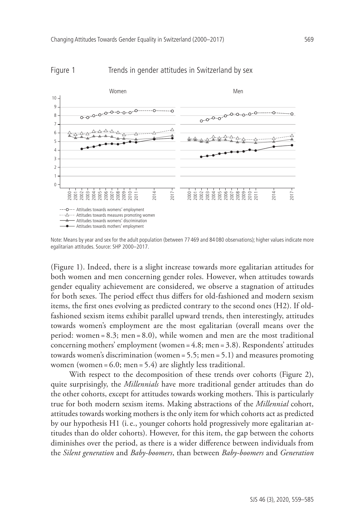

#### Figure 1 Trends in gender attitudes in Switzerland by sex

Note: Means by year and sex for the adult population (between 77 469 and 84 080 observations); higher values indicate more egalitarian attitudes. Source: SHP 2000–2017.

(Figure 1). Indeed, there is a slight increase towards more egalitarian attitudes for both women and men concerning gender roles. However, when attitudes towards gender equality achievement are considered, we observe a stagnation of attitudes for both sexes. The period effect thus differs for old-fashioned and modern sexism items, the first ones evolving as predicted contrary to the second ones (H2). If oldfashioned sexism items exhibit parallel upward trends, then interestingly, attitudes towards women's employment are the most egalitarian (overall means over the period: women = 8.3; men = 8.0), while women and men are the most traditional concerning mothers' employment (women = 4.8; men = 3.8). Respondents' attitudes towards women's discrimination (women = 5.5; men = 5.1) and measures promoting women (women = 6.0; men = 5.4) are slightly less traditional.

With respect to the decomposition of these trends over cohorts (Figure 2), quite surprisingly, the *Millennials* have more traditional gender attitudes than do the other cohorts, except for attitudes towards working mothers. This is particularly true for both modern sexism items. Making abstractions of the *Millennial* cohort, attitudes towards working mothers is the only item for which cohorts act as predicted by our hypothesis H1 (i.e., younger cohorts hold progressively more egalitarian attitudes than do older cohorts). However, for this item, the gap between the cohorts diminishes over the period, as there is a wider difference between individuals from the *Silent generation* and *Baby-boomers*, than between *Baby-boomers* and *Generation*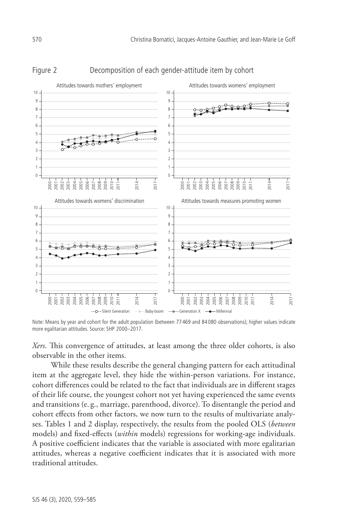

## Figure 2 Decomposition of each gender-attitude item by cohort

Note: Means by year and cohort for the adult population (between 77 469 and 84 080 observations); higher values indicate more egalitarian attitudes. Source: SHP 2000–2017.

*Xers*. This convergence of attitudes, at least among the three older cohorts, is also observable in the other items.

While these results describe the general changing pattern for each attitudinal item at the aggregate level, they hide the within-person variations. For instance, cohort differences could be related to the fact that individuals are in different stages of their life course, the youngest cohort not yet having experienced the same events and transitions (e. g., marriage, parenthood, divorce). To disentangle the period and cohort effects from other factors, we now turn to the results of multivariate analyses. Tables 1 and 2 display, respectively, the results from the pooled OLS (*between* models) and fixed-effects (*within* models) regressions for working-age individuals. A positive coefficient indicates that the variable is associated with more egalitarian attitudes, whereas a negative coefficient indicates that it is associated with more traditional attitudes.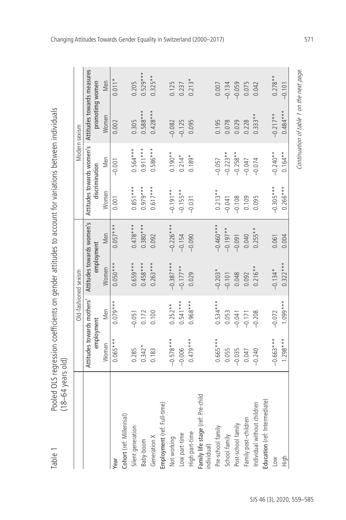| $\ddot{\cdot}$<br><b>・・リノ n n リ 2 p.</b><br>$5 - 2 + 1 + 1 = 0$                                   |             |
|---------------------------------------------------------------------------------------------------|-------------|
| continuants on nandar attitudes to account for unriation.<br>  3)  3)  3)  3)  3)  3)  3)  3)  3) |             |
| シケ こう うこうラニフラノ こっ                                                                                 |             |
| うらりシー<br>١<br>)<br>>>>>>><br>l                                                                    | ;<br>?<br>I |
| Table                                                                                             |             |

|                                                  |             |                            | Old-fashioned sexism      |             |                | Modern sexism             |                            |            |
|--------------------------------------------------|-------------|----------------------------|---------------------------|-------------|----------------|---------------------------|----------------------------|------------|
|                                                  |             | Attitudes towards mothers' | Attitudes towards women's |             |                | Attitudes towards women's | Attitudes towards measures |            |
|                                                  |             | employment                 | employment                |             | discrimination |                           | promotimg women            |            |
|                                                  | Women       | Men                        | Women                     | Men         | Women          | Men                       | Women                      | Men        |
| Year                                             | $0.065***$  | $0.079***$                 | $0.050***$                | $0.057***$  | 0.001          | $-0.001$                  | 0.002                      | $0.011*$   |
| Cohort (ref: Millennial)                         |             |                            |                           |             |                |                           |                            |            |
| Silent generation                                | 0.285       | $-0.051$                   | $0.659***$                | $0.478***$  | $0.851***$     | $0.564***$                | 0.305                      | 0.205      |
| Baby-boom                                        | $0.342*$    | 0.172                      | $0.458***$                | $0.380***$  | $0.979***$     | $0.911***$                | $0.588***$                 | $0.529***$ |
| Generation X                                     | 0.183       | 0.100                      | $0.263***$                | 0.092       | $0.617***$     | $0.586***$                | $0.428***$                 | $0.325**$  |
| Employment (ref: Full-time)                      |             |                            |                           |             |                |                           |                            |            |
| Not working                                      | $-0.578***$ | $0.252**$                  | $-0.387***$               | $-0.226***$ | $-0.191**$     | $0.190**$                 | $-0.082$                   | 0.125      |
| Low part-time                                    | $-0.006$    | $0.541***$                 | $-0.177**$                | $-0.154$    | $-0.155**$     | $0.214*$                  | $-0.125$                   | 0.237      |
| High part-time                                   | $0.479***$  | $0.968***$                 | 0.029                     | $-0.090$    | $-0.031$       | $0.189*$                  | 0.095                      | $0.213*$   |
| Family life stage (ref: Pre-child<br>individual) |             |                            |                           |             |                |                           |                            |            |
| Pre-school family                                | $0.665***$  | $0.534***$                 | $-0.203*$                 | $-0.460***$ | $0.213**$      | $-0.057$                  | 0.195                      | 0.007      |
| School family                                    | 0.055       | 0.053                      | $-0.101$                  | $-0.197**$  | $-0.041$       | $-0.223**$                | 0.078                      | $-0.134$   |
| Post-school family                               | $-0.035$    | $-0.041$                   | 0.048                     | $-0.091$    | $-0.108$       | $-0.258**$                | 0.029                      | $-0.059$   |
| Family post-children                             | 0.047       | $-0.171$                   | 0.092                     | 0.040       | 0.109          | $-0.047$                  | 0.228                      | 0.075      |
| Individual without children                      | $-0.240$    | $-0.208$                   | $0.216**$                 | $0.255**$   | 0.095          | $-0.074$                  | $0.333**$                  | 0.042      |
| Education (ref: Intermediate)                    |             |                            |                           |             |                |                           |                            |            |
| <b>NOT</b>                                       | $-0.663***$ | $-0.072$                   | $-0.134*$                 | 0.061       | $-0.305***$    | $-0.240**$                | $-0.217**$                 | $0.278**$  |
| High                                             | $1.298***$  | $1.099***$                 | $0.322***$                | 0.004       | $0.266***$     | $0.164**$                 | $0.484***$                 | $-0.101$   |

Changing Attitudes Towards Gender Equality in Switzerland (2000–2017) 571

Continuation of table 1 on the next page. Continuation of table 1 on the next page.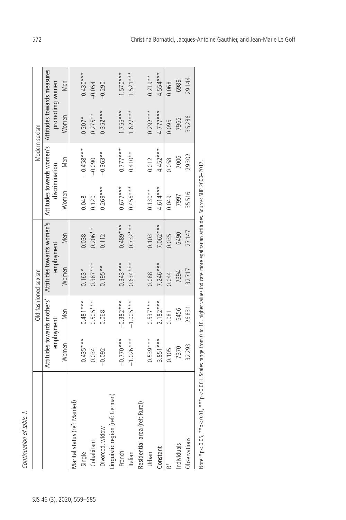| Attitudes towards women's Attitudes towards measures<br>29144<br>6989<br>Men<br>promotimg women<br>0.068<br>$-0.054$<br>$-0.290$<br>$0.292***$<br>$1.755***$<br>$1.627***$<br>$4.777***$<br>$0.352***$<br>$0.275**$<br>Women<br>35286<br>$0.207*$<br>7965<br>0.095<br>$0.777***$<br>$4.452***$<br>$-0.458***$<br>$0.410**$<br>$-0.363**$<br>29302<br>7006<br>Men<br>0.012<br>$-0.090$<br>0.058<br>discrimination<br>$0.677***$<br>$0.456***$<br>$4.614***$<br>$0.269***$<br>$0.130**$<br>Women<br>35516<br>7997<br>0.049<br>0.048<br>0.120<br>Attitudes towards women's<br>$0.489***$<br>$0.732***$<br>$7.062***$<br>$0.206**$<br>27147<br>6490<br>Men<br>0.038<br>0.112<br>0.103<br>0.035<br>employment<br>$0.343***$<br>$0.634***$<br>$7.246***$<br>$0.387***$<br>$0.195**$<br>Women<br>32717<br>$0.163*$<br>7394<br>0.088<br>0.044<br>Attitudes towards mothers'<br>$-0.382***$<br>$-1.005***$<br>$0.537***$<br>$0.481***$<br>$0.505***$<br>$2.182***$<br>26831<br>6456<br>Men<br>0.068<br>0.081<br>employment<br>$-0.770***$<br>$0.539***$<br>$0.435***$<br>$3.851***$<br>$-1.026***$<br>Women<br>32293<br>7370<br>0.105<br>0.034<br>$-0.092$<br>Marital status (ref: Married)<br>Single<br>Cohabitant<br>Divorced, widow<br>Linguistic region (ref: German)<br>French<br>Residential area (ref: Rural)<br>Urban<br>Observations<br>ndividuals<br>$\frac{\text{Constant}}{\mathsf{R}^2}$ |  | Old-fashioned sexism |  | Modern sexism |             |
|----------------------------------------------------------------------------------------------------------------------------------------------------------------------------------------------------------------------------------------------------------------------------------------------------------------------------------------------------------------------------------------------------------------------------------------------------------------------------------------------------------------------------------------------------------------------------------------------------------------------------------------------------------------------------------------------------------------------------------------------------------------------------------------------------------------------------------------------------------------------------------------------------------------------------------------------------------------------------------------------------------------------------------------------------------------------------------------------------------------------------------------------------------------------------------------------------------------------------------------------------------------------------------------------------------------------------------------------------------------------------------------------|--|----------------------|--|---------------|-------------|
|                                                                                                                                                                                                                                                                                                                                                                                                                                                                                                                                                                                                                                                                                                                                                                                                                                                                                                                                                                                                                                                                                                                                                                                                                                                                                                                                                                                              |  |                      |  |               |             |
|                                                                                                                                                                                                                                                                                                                                                                                                                                                                                                                                                                                                                                                                                                                                                                                                                                                                                                                                                                                                                                                                                                                                                                                                                                                                                                                                                                                              |  |                      |  |               |             |
|                                                                                                                                                                                                                                                                                                                                                                                                                                                                                                                                                                                                                                                                                                                                                                                                                                                                                                                                                                                                                                                                                                                                                                                                                                                                                                                                                                                              |  |                      |  |               |             |
|                                                                                                                                                                                                                                                                                                                                                                                                                                                                                                                                                                                                                                                                                                                                                                                                                                                                                                                                                                                                                                                                                                                                                                                                                                                                                                                                                                                              |  |                      |  |               |             |
|                                                                                                                                                                                                                                                                                                                                                                                                                                                                                                                                                                                                                                                                                                                                                                                                                                                                                                                                                                                                                                                                                                                                                                                                                                                                                                                                                                                              |  |                      |  |               | $-0.430***$ |
|                                                                                                                                                                                                                                                                                                                                                                                                                                                                                                                                                                                                                                                                                                                                                                                                                                                                                                                                                                                                                                                                                                                                                                                                                                                                                                                                                                                              |  |                      |  |               |             |
|                                                                                                                                                                                                                                                                                                                                                                                                                                                                                                                                                                                                                                                                                                                                                                                                                                                                                                                                                                                                                                                                                                                                                                                                                                                                                                                                                                                              |  |                      |  |               |             |
|                                                                                                                                                                                                                                                                                                                                                                                                                                                                                                                                                                                                                                                                                                                                                                                                                                                                                                                                                                                                                                                                                                                                                                                                                                                                                                                                                                                              |  |                      |  |               |             |
|                                                                                                                                                                                                                                                                                                                                                                                                                                                                                                                                                                                                                                                                                                                                                                                                                                                                                                                                                                                                                                                                                                                                                                                                                                                                                                                                                                                              |  |                      |  |               | $1.570***$  |
|                                                                                                                                                                                                                                                                                                                                                                                                                                                                                                                                                                                                                                                                                                                                                                                                                                                                                                                                                                                                                                                                                                                                                                                                                                                                                                                                                                                              |  |                      |  |               | $1.521***$  |
|                                                                                                                                                                                                                                                                                                                                                                                                                                                                                                                                                                                                                                                                                                                                                                                                                                                                                                                                                                                                                                                                                                                                                                                                                                                                                                                                                                                              |  |                      |  |               |             |
|                                                                                                                                                                                                                                                                                                                                                                                                                                                                                                                                                                                                                                                                                                                                                                                                                                                                                                                                                                                                                                                                                                                                                                                                                                                                                                                                                                                              |  |                      |  |               | $0.219**$   |
|                                                                                                                                                                                                                                                                                                                                                                                                                                                                                                                                                                                                                                                                                                                                                                                                                                                                                                                                                                                                                                                                                                                                                                                                                                                                                                                                                                                              |  |                      |  |               | $4.554***$  |
|                                                                                                                                                                                                                                                                                                                                                                                                                                                                                                                                                                                                                                                                                                                                                                                                                                                                                                                                                                                                                                                                                                                                                                                                                                                                                                                                                                                              |  |                      |  |               |             |
|                                                                                                                                                                                                                                                                                                                                                                                                                                                                                                                                                                                                                                                                                                                                                                                                                                                                                                                                                                                                                                                                                                                                                                                                                                                                                                                                                                                              |  |                      |  |               |             |
|                                                                                                                                                                                                                                                                                                                                                                                                                                                                                                                                                                                                                                                                                                                                                                                                                                                                                                                                                                                                                                                                                                                                                                                                                                                                                                                                                                                              |  |                      |  |               |             |

Note: \*p<0.05, \*\*p<0.01, \*\*\*p<0.001. Scales range from 0 to 10, higher values indicate more egalitarian attitudes. Source: SHP 2000–2017. SOUTCE: SHP attitudes. 듢 ē  $*$ p<0.001. Scales range from 0 to 10, higher values indicate more egali $\bar{ }$ Note: "p<0.05, ""p<0.01,"

ï

Continuation of table 1.

Continuation of table 1.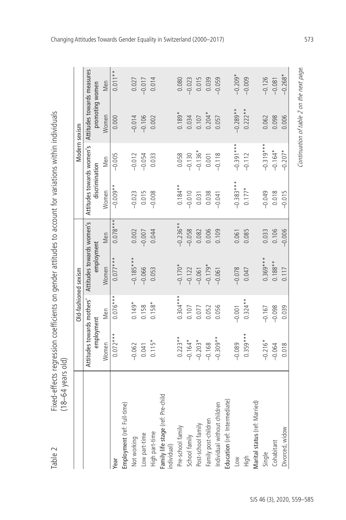Fixed-effects regression coefficients on gender attitudes to account for variations within individuals<br>(18–64 years old) Table 2 Fixed-effects regression coefficients on gender attitudes to account for variations within individuals

| ر<br>ī |        |
|--------|--------|
|        | ars    |
| -<br>1 | Φ      |
| ٦      | ↴<br>l |
| ī      | c      |
| L      |        |

Table 2

|                                                  |                            | Old-fashioned sexism |                           |            |                           | Modern sexism |                            |           |
|--------------------------------------------------|----------------------------|----------------------|---------------------------|------------|---------------------------|---------------|----------------------------|-----------|
|                                                  | Attitudes towards mothers' |                      | Attitudes towards women's |            | Attitudes towards women's |               | Attitudes towards measures |           |
|                                                  | employment                 |                      | employment                |            | discrimination            |               | promoting women            |           |
|                                                  | Women                      | Men                  | Women                     | Men        | Women                     | Men           | Women                      | Men       |
| Year                                             | $0.072***$                 | $0.076***$           | $0.077***$                | $0.078***$ | $-0.009**$                | $-0.005$      | 0.000                      | $0.011**$ |
| Employment (ref: Full-time)                      |                            |                      |                           |            |                           |               |                            |           |
| Not working                                      | $-0.062$                   | $0.149*$             | $-0.185***$               | 0.002      | $-0.023$                  | $-0.012$      | $-0.014$                   | 0.027     |
| Low part-time                                    | 0.041                      | 0.158                | $-0.066$                  | $-0.007$   | 0.015                     | $-0.054$      | $-0.106$                   | $-0.017$  |
| High part-time                                   | $0.115*$                   | $0.158*$             | 0.053                     | 0.044      | $-0.008$                  | 0.033         | 0.002                      | 0.014     |
| Family life stage (ref: Pre-child<br>individual) |                            |                      |                           |            |                           |               |                            |           |
| Pre-school family                                | $0.223**$                  | $0.304***$           | $-0.170*$                 | $-0.236**$ | $0.184**$                 | 0.058         | $0.189*$                   | 0.080     |
| School family                                    | $-0.164*$                  | 0.107                | $-0.122$                  | $-0.058$   | $-0.010$                  | $-0.130$      | 0.034                      | $-0.023$  |
| Post-school family                               | $-0.203*$                  | 0.077                | $-0.061$                  | 0.082      | 0.031                     | $-0.136*$     | 0.107                      | 0.015     |
| Family post-children                             | $-0.168$                   | 0.052                | $-0.179*$                 | 0.006      | 0.038                     | 0.001         | $0.204*$                   | 0.039     |
| Individual without children                      | $-0.309**$                 | 0.056                | $-0.061$                  | 0.109      | $-0.041$                  | $-0.118$      | 0.057                      | $-0.059$  |
| Education (ref: Intermediate)                    |                            |                      |                           |            |                           |               |                            |           |
| $\leq$                                           | $-0.089$                   | $-0.001$             | $-0.078$                  | 0.061      | $-0.383***$               | $-0.391***$   | $-0.289**$                 | $-0.209*$ |
| High                                             | $0.359***$                 | $0.324**$            | 0.047                     | 0.085      | $0.177*$                  | $-0.112$      | $0.222**$                  | $-0.009$  |
| Marital status (ref: Married)                    |                            |                      |                           |            |                           |               |                            |           |
| Single                                           | $-0.216*$                  | $-0.167$             | $0.369***$                | 0.033      | $-0.049$                  | $-0.319***$   | 0.062                      | $-0.126$  |
| Cohabitant                                       | $-0.064$                   | $-0.098$             | $0.188**$                 | 0.106      | 0.018                     | $-0.164*$     | 0.098                      | $-0.081$  |
| Divorced, widow                                  | 0.018                      | 0.039                | 0.117                     | $-0.006$   | $-0.015$                  | $-0.207*$     | 0.006                      | $-0.268*$ |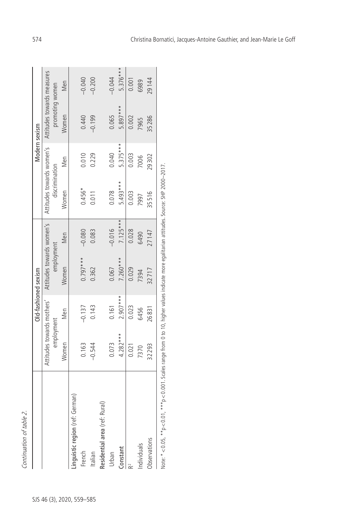| í<br>٢ |
|--------|
| с      |
|        |
|        |
|        |
| j<br>٢ |
|        |
|        |
|        |
|        |
|        |
| i<br>l |

|                                  |                            | Old-fashioned sexism |                           |            |                           | Modern sexism |                            |            |
|----------------------------------|----------------------------|----------------------|---------------------------|------------|---------------------------|---------------|----------------------------|------------|
|                                  | Attitudes towards mothers' |                      | Attitudes towards women's |            | Attitudes towards women's |               | Attitudes towards measures |            |
|                                  | employment                 |                      | employment                |            | discrimination            |               | promoting women            |            |
|                                  | Women                      | Men                  | Women                     | Men        | Women                     | Men           | Women                      | Men        |
| inguistic region (ref: German)   |                            |                      |                           |            |                           |               |                            |            |
| French                           | 0.163                      | $-0.137$             | $0.797***$                | $-0.080$   | $0.456*$                  | 0.010         | 0.440                      | $-0.040$   |
| Italian                          | $-0.544$                   | 0.143                | 0.362                     | 0.083      | 0.011                     | 0.229         | $-0.199$                   | $-0.200$   |
| (ref: Rural)<br>Residential area |                            |                      |                           |            |                           |               |                            |            |
|                                  | 0.073                      | 0.161                | 0.067                     | $-0.016$   | 0.078                     | 0.040         | 0.065                      | $-0.044$   |
| $rac{\text{Constant}}{2}$        | $4.282***$                 | $2.907***$           | $7.260***$                | $7.125***$ | 5.493***                  | 5.375***      | 5.897 ***                  | $5.376***$ |
|                                  | 0.021                      | 0.023                | 0.029                     | 0.028      | 0.003                     | 0.003         | 0.002                      | 0.001      |
| dividuals                        | 7370                       | 6456                 | 7394                      | 6490       | 7997                      | 7006          | 7965                       | 6989       |
| <b>J</b> bservations             | 32293                      | 26831                | 32717                     | 27147      | 35516                     | 29302         | 35286                      | 29144      |

Note: \*<0.05, \*\*p<0.01, \*\*\*p<0.001. Scales range from 0 to 10, higher values indicate more egalitarian attitudes. Source: SHP 2000–2017.  $\overline{\phantom{1}}$ ž CO.O. jue.<br>D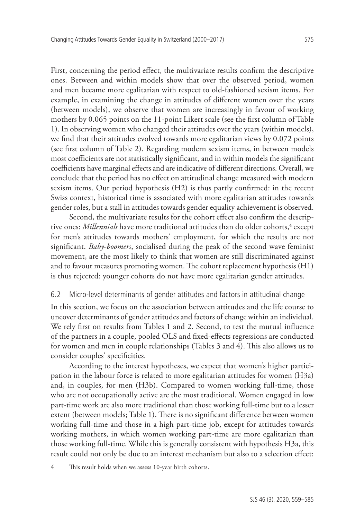First, concerning the period effect, the multivariate results confirm the descriptive ones. Between and within models show that over the observed period, women and men became more egalitarian with respect to old-fashioned sexism items. For example, in examining the change in attitudes of different women over the years (between models), we observe that women are increasingly in favour of working mothers by 0.065 points on the 11-point Likert scale (see the first column of Table 1). In observing women who changed their attitudes over the years (within models), we find that their attitudes evolved towards more egalitarian views by 0.072 points (see first column of Table 2). Regarding modern sexism items, in between models most coefficients are not statistically significant, and in within models the significant coefficients have marginal effects and are indicative of different directions. Overall, we conclude that the period has no effect on attitudinal change measured with modern sexism items. Our period hypothesis (H2) is thus partly confirmed: in the recent Swiss context, historical time is associated with more egalitarian attitudes towards gender roles, but a stall in attitudes towards gender equality achievement is observed.

Second, the multivariate results for the cohort effect also confirm the descriptive ones: *Millennials* have more traditional attitudes than do older cohorts,<sup>4</sup> except for men's attitudes towards mothers' employment, for which the results are not significant. *Baby-boomers*, socialised during the peak of the second wave feminist movement, are the most likely to think that women are still discriminated against and to favour measures promoting women. The cohort replacement hypothesis (H1) is thus rejected: younger cohorts do not have more egalitarian gender attitudes.

#### 6.2 Micro-level determinants of gender attitudes and factors in attitudinal change

In this section, we focus on the association between attitudes and the life course to uncover determinants of gender attitudes and factors of change within an individual. We rely first on results from Tables 1 and 2. Second, to test the mutual influence of the partners in a couple, pooled OLS and fixed-effects regressions are conducted for women and men in couple relationships (Tables 3 and 4). This also allows us to consider couples' specificities.

According to the interest hypotheses, we expect that women's higher participation in the labour force is related to more egalitarian attitudes for women (H3a) and, in couples, for men (H3b). Compared to women working full-time, those who are not occupationally active are the most traditional. Women engaged in low part-time work are also more traditional than those working full-time but to a lesser extent (between models; Table 1). There is no significant difference between women working full-time and those in a high part-time job, except for attitudes towards working mothers, in which women working part-time are more egalitarian than those working full-time. While this is generally consistent with hypothesis H3a, this result could not only be due to an interest mechanism but also to a selection effect:

<sup>4</sup> This result holds when we assess 10-year birth cohorts.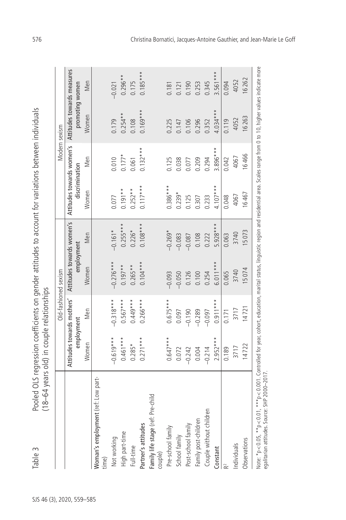| ר המוכח התורשת המקור המוכח המוכח המוכח המקור המקור המוכח המקור המוכח המוכח המוכח המוכח המוכח המוכח המוכח המוכח ה<br>1)<br>2)<br>2<br>)<br>2<br>1<br>)<br>)<br>)<br>)<br>)<br>) |                                                                                   |
|--------------------------------------------------------------------------------------------------------------------------------------------------------------------------------|-----------------------------------------------------------------------------------|
|                                                                                                                                                                                |                                                                                   |
|                                                                                                                                                                                |                                                                                   |
| Noolar                                                                                                                                                                         | " vaars old) in counts relationshims<br>$(18 - 64$ years old) in<br>$\frac{1}{2}$ |

Note: \*p<0.05, \*\*p<0.01, \*\*\*p<0.001. Controlled for year, cohort, education, marital status, linguistic region and residential area. Scales range from 0 to 10, higher values indicate more Note: \*p<0.05, \*\*p<0.01, \*\*\*p<0.001. Controlled for year, cohort, education, marital status, linguistic region and residential area. Scales range from 0 to 10, higher values indicate more Sts. Table 3 Pooled OLS regression coefficients on gender attitudes to account for variations between individuals<br>46 AS (18–64 years old) in couple relationships<br>30 AS (18–64 years old) in couple relationships<br>20 Antitudes Attitudes towards women's | Attitudes towards women's Attitudes towards measures  $0.185***$  $3.561***$ Partner's attitudes 0.271\*\*\* 0.266\*\*\* 0.104\*\*\* 0.117\*\* 0.132\*\*\* 0.105\*\*\* 0.185\*\*\* Constant 2.952\*\*\* 0.911\*\*\* 6.011\*\*\* 5.928\*\*\* 4.107\*\*\* 3.896\*\*\* 4.034\*\*\* 3.561\*\*\*  $0.296**$ High part-time 0.461\*\*\* 0.567\*\*\* 0.197\*\* 0.255\*\*\* 0.191\*\* 0.177\* 0.254\*\* 0.296\*\* 6262 4052  $-0.021$ 0.175 0.345 0.094 Observations (14722 14722 15 15 074 15 073 16 467 16 466 16 263 16 262 Men 0.190 0.253 promoting women 0.181  $0.121$ Individuals 3717 3717 3740 3740 4067 4067 4052 4052 Full-time 0.285\* 0.449\*\*\* 0.265\*\* 0.226\* 0.252\*\* 0.061 0.108 0.175 Post-school family –0.127 –0.125 –0.127 –0.127 –0.125 –0.125 0.125 0.125 0.125 0.125 0.125 0.125 0.1 SS2(0.0 –0.0200 –0.2020 –0.2020 0.004 0.004 0.0020 0.0020 0.000 0.000 0.209 0.209 0.209 0.209 0.209 0.209 0.20 Couple without children –0.214 –0.097 0.254 0.222 0.233 0.294 0.352 0.345 P60.09 0.12 0.171 0.09 0.095 0.095 0.095 0.095 0.095 0.095 0.095 0.095 0.095 0.095 0.095 0.095 0.095 0.095 0.1 Not working –0.619\*\*\* –0.318\*\*\* –0.276\*\*\* –0.161\* 0.077 0.010 0.179 –0.021 Pre-school family 0.647\*\*\* 0.675\*\*\* –0.093 –0.269\* 0.386\*\*\* 0.125 0.225 0.181 School family 21.01 – 2020 – 2020 – 2020 – 2020 – 2020 – 2020 – 2020 – 2020 – 2020 – 2020 – 2020 – 2020 – 2020  $0.169***$  $4.034***$  $0.254***$ **Nomen** 16263 4052 0.179 0.108 0.225 0.352  $0.119$ 0.147 0.106 0.296 Modern sexism  $0.132***$  $3.896***$ 16466  $0.177*$ Men 4067 0.010 0.061  $0.125$ 0.038 0.077  $0.209$ 0.294  $0.042$ discrimination  $0.117***$  $0.386***$  $4.107***$  $0.191**$  $0.252**$ Women 16467  $0.239*$ 4067 0.077 0.125 0.307 0.048 0.233  $5.928***$  $0.255***$  $0.108***$  $0.226*$  $-0.269*$ 15073  $-0.161*$ 3740 Men  $-0.083$  $-0.087$ 0.108 0.222 0.063 employment  $0.104***$  $-0.276***$  $6.011***$  $0.265**$  $0.197**$ Women 3740 15074 Old-fashioned sexism  $-0.093$  $-0.050$ 0.126 0.100 0.254 0.065 Attitudes towards mothers'  $0.266***$  $0.675***$  $0.911***$  $-0.318***$  $0.567***$  $0.449***$ 14721 Men 3717  $-0.289$  $-0.097$ 0.097  $-0.190$  $0.171$ employment  $-0.619***$  $0.647***$  $2.952***$  $0.461***$  $0.271***$ Women  $0.285*$ 14722  $-0.242$ 0.189 3717 0.072 0.004  $-0.214$ egalitarian attitudes. Source: SHP 2000-2017. Noman's employment (ref: Low part-Family life stage (ref: Pre-child Family life stage (ref: Pre-child Couple without children Family post-children Partner's attitudes Post-school family Pre-school family High part-time School family Not working Observations Individuals Full-time Constant couple) time)

576 Christina Bornatici, Jacques-Antoine Gauthier, and Jean-Marie Le Goff

egalitarian attitudes. Source: SHP 2000–2017.

Table 3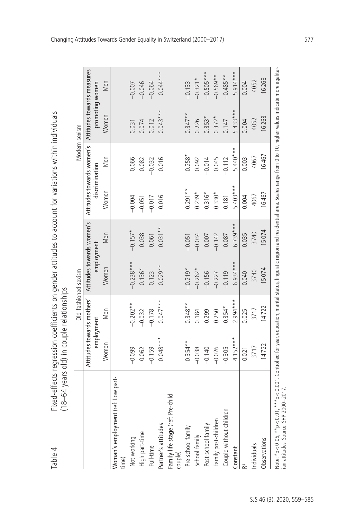| נ<br>ג<br>S<br><b>Allandination</b><br>ׇ֘֒<br>こうせ せんここうりょう うみ                                     |                                                        |
|---------------------------------------------------------------------------------------------------|--------------------------------------------------------|
| . 22-1-1-1-1-2<br>:<br>:<br>:<br>-<br>3<br>3<br>ve con controller server<br>١<br>うりこうソー コノノニ<br>١ | $\frac{1}{2}$<br>$\ddot{\cdot}$<br>is<br>12<br>17<br>Ś |
| i<br>abl<br>$\overline{a}$                                                                        | ໌<br>Ì<br>-<br>c<br>I                                  |

Table 4

|                                                                                                                                                                                                                                 |            | Old-fashioned sexism       |             |                           |                | Modern sexism             |                                               |             |
|---------------------------------------------------------------------------------------------------------------------------------------------------------------------------------------------------------------------------------|------------|----------------------------|-------------|---------------------------|----------------|---------------------------|-----------------------------------------------|-------------|
|                                                                                                                                                                                                                                 | employment | Attitudes towards mothers' | employment  | Attitudes towards women's | discrimination | Attitudes towards women's | Attitudes towards measures<br>promoting women |             |
|                                                                                                                                                                                                                                 | Women      | Men                        | Women       | Men                       | Women          | Men                       | Women                                         | Men         |
| Woman's employment (ref: Low part-                                                                                                                                                                                              |            |                            |             |                           |                |                           |                                               |             |
| time)                                                                                                                                                                                                                           |            |                            |             |                           |                |                           |                                               |             |
| Not working                                                                                                                                                                                                                     | $-0.099$   | $-0.202**$                 | $-0.238***$ | $-0.157*$                 | $-0.004$       | 0.066                     | 0.031                                         | $-0.007$    |
| High part-time                                                                                                                                                                                                                  | 0.062      | $-0.032$                   | $0.136*$    | 0.038                     | $-0.051$       | 0.082                     | 0.074                                         | $-0.046$    |
| Full-time                                                                                                                                                                                                                       | $-0.159$   | $-0.178$                   | 0.123       | 0.061                     | $-0.017$       | 0.032                     | 0.012                                         | $-0.064$    |
| Partner's attitudes                                                                                                                                                                                                             | $0.048***$ | $0.047***$                 | $0.029**$   | $0.031**$                 | 0.016          | 0.016                     | $0.043***$                                    | $0.044***$  |
| Family life stage (ref: Pre-child<br>couple)                                                                                                                                                                                    |            |                            |             |                           |                |                           |                                               |             |
| Pre-school family                                                                                                                                                                                                               | $0.354**$  | $0.348**$                  | $-0.219*$   | $-0.051$                  | $0.291**$      | $0.258*$                  | $0.347**$                                     | $-0.133$    |
| School family                                                                                                                                                                                                                   | $-0.038$   | 0.184                      | $-0.262*$   | $-0.034$                  | $0.239*$       | 0.092                     | 0.226                                         | $-0.321*$   |
| Post-school family                                                                                                                                                                                                              | $-0.140$   | 0.299                      | $-0.156$    | 0.007                     | $0.316*$       | 0.014                     | $0.353*$                                      | $-0.505***$ |
| Family post-children                                                                                                                                                                                                            | $-0.026$   | 0.250                      | $-0.227$    | $-0.142$                  | $0.330*$       | 0.045                     | $0.372*$                                      | $-0.569**$  |
| Couple without children                                                                                                                                                                                                         | $-0.305$   | $0.354*$                   | $-0.119$    | 0.087                     | 0.181          | $-0.112$                  | 0.147                                         | $-0.485**$  |
| Constant                                                                                                                                                                                                                        | $4.152***$ | $2.994***$                 | $6.934***$  | $6.739***$                | $5.403***$     | $5.440***$                | $5.433***$                                    | $5.914***$  |
|                                                                                                                                                                                                                                 | 0.021      | 0.025                      | 0.040       | 0.035                     | 0.004          | 0.003                     | 0.004                                         | 0.004       |
| Individuals                                                                                                                                                                                                                     | 3717       | 3717                       | 3740        | 3740                      | 4067           | 4067                      | 4052                                          | 4052        |
| Observations                                                                                                                                                                                                                    | 14722      | 14722                      | 15074       | 15074                     | 16467          | 16467                     | 16263                                         | 16263       |
| Note: *p < 0.05, **p < 0.001. Controlled for year, education, marital status, linguistic region and residential area. Scales range from 0 to 10, higher values indicate more egalitar-<br>ian attitudes. Source: SHP 2000-2017. |            |                            |             |                           |                |                           |                                               |             |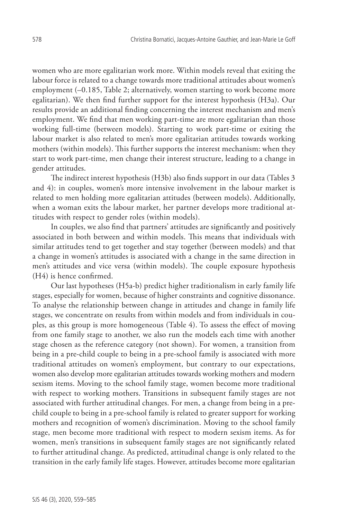women who are more egalitarian work more. Within models reveal that exiting the labour force is related to a change towards more traditional attitudes about women's employment (–0.185, Table 2; alternatively, women starting to work become more egalitarian). We then find further support for the interest hypothesis (H3a). Our results provide an additional finding concerning the interest mechanism and men's employment. We find that men working part-time are more egalitarian than those working full-time (between models). Starting to work part-time or exiting the labour market is also related to men's more egalitarian attitudes towards working mothers (within models). This further supports the interest mechanism: when they start to work part-time, men change their interest structure, leading to a change in gender attitudes.

The indirect interest hypothesis (H3b) also finds support in our data (Tables 3 and 4): in couples, women's more intensive involvement in the labour market is related to men holding more egalitarian attitudes (between models). Additionally, when a woman exits the labour market, her partner develops more traditional attitudes with respect to gender roles (within models).

In couples, we also find that partners' attitudes are significantly and positively associated in both between and within models. This means that individuals with similar attitudes tend to get together and stay together (between models) and that a change in women's attitudes is associated with a change in the same direction in men's attitudes and vice versa (within models). The couple exposure hypothesis (H4) is hence confirmed.

Our last hypotheses (H5a-b) predict higher traditionalism in early family life stages, especially for women, because of higher constraints and cognitive dissonance. To analyse the relationship between change in attitudes and change in family life stages, we concentrate on results from within models and from individuals in couples, as this group is more homogeneous (Table 4). To assess the effect of moving from one family stage to another, we also run the models each time with another stage chosen as the reference category (not shown). For women, a transition from being in a pre-child couple to being in a pre-school family is associated with more traditional attitudes on women's employment, but contrary to our expectations, women also develop more egalitarian attitudes towards working mothers and modern sexism items. Moving to the school family stage, women become more traditional with respect to working mothers. Transitions in subsequent family stages are not associated with further attitudinal changes. For men, a change from being in a prechild couple to being in a pre-school family is related to greater support for working mothers and recognition of women's discrimination. Moving to the school family stage, men become more traditional with respect to modern sexism items. As for women, men's transitions in subsequent family stages are not significantly related to further attitudinal change. As predicted, attitudinal change is only related to the transition in the early family life stages. However, attitudes become more egalitarian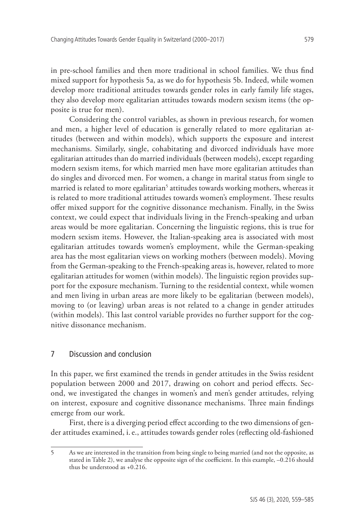in pre-school families and then more traditional in school families. We thus find mixed support for hypothesis 5a, as we do for hypothesis 5b. Indeed, while women develop more traditional attitudes towards gender roles in early family life stages, they also develop more egalitarian attitudes towards modern sexism items (the opposite is true for men).

Considering the control variables, as shown in previous research, for women and men, a higher level of education is generally related to more egalitarian attitudes (between and within models), which supports the exposure and interest mechanisms. Similarly, single, cohabitating and divorced individuals have more egalitarian attitudes than do married individuals (between models), except regarding modern sexism items, for which married men have more egalitarian attitudes than do singles and divorced men. For women, a change in marital status from single to married is related to more egalitarian<sup>5</sup> attitudes towards working mothers, whereas it is related to more traditional attitudes towards women's employment. These results offer mixed support for the cognitive dissonance mechanism. Finally, in the Swiss context, we could expect that individuals living in the French-speaking and urban areas would be more egalitarian. Concerning the linguistic regions, this is true for modern sexism items. However, the Italian-speaking area is associated with most egalitarian attitudes towards women's employment, while the German-speaking area has the most egalitarian views on working mothers (between models). Moving from the German-speaking to the French-speaking areas is, however, related to more egalitarian attitudes for women (within models). The linguistic region provides support for the exposure mechanism. Turning to the residential context, while women and men living in urban areas are more likely to be egalitarian (between models), moving to (or leaving) urban areas is not related to a change in gender attitudes (within models). This last control variable provides no further support for the cognitive dissonance mechanism.

### 7 Discussion and conclusion

In this paper, we first examined the trends in gender attitudes in the Swiss resident population between 2000 and 2017, drawing on cohort and period effects. Second, we investigated the changes in women's and men's gender attitudes, relying on interest, exposure and cognitive dissonance mechanisms. Three main findings emerge from our work.

First, there is a diverging period effect according to the two dimensions of gender attitudes examined, i. e., attitudes towards gender roles (reflecting old-fashioned

<sup>5</sup> As we are interested in the transition from being single to being married (and not the opposite, as stated in Table 2), we analyse the opposite sign of the coefficient. In this example, –0.216 should thus be understood as +0.216.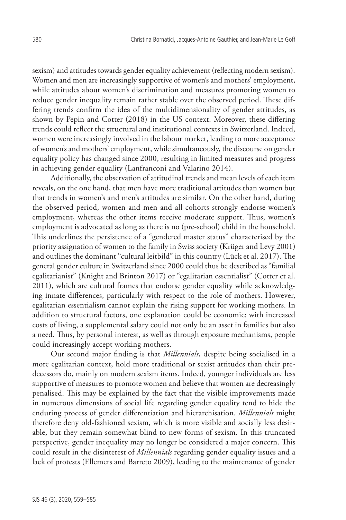sexism) and attitudes towards gender equality achievement (reflecting modern sexism). Women and men are increasingly supportive of women's and mothers' employment, while attitudes about women's discrimination and measures promoting women to reduce gender inequality remain rather stable over the observed period. These differing trends confirm the idea of the multidimensionality of gender attitudes, as shown by Pepin and Cotter (2018) in the US context. Moreover, these differing trends could reflect the structural and institutional contexts in Switzerland. Indeed, women were increasingly involved in the labour market, leading to more acceptance of women's and mothers' employment, while simultaneously, the discourse on gender equality policy has changed since 2000, resulting in limited measures and progress in achieving gender equality (Lanfranconi and Valarino 2014).

Additionally, the observation of attitudinal trends and mean levels of each item reveals, on the one hand, that men have more traditional attitudes than women but that trends in women's and men's attitudes are similar. On the other hand, during the observed period, women and men and all cohorts strongly endorse women's employment, whereas the other items receive moderate support. Thus, women's employment is advocated as long as there is no (pre-school) child in the household. This underlines the persistence of a "gendered master status" characterised by the priority assignation of women to the family in Swiss society (Krüger and Levy 2001) and outlines the dominant "cultural leitbild" in this country (Lück et al. 2017). The general gender culture in Switzerland since 2000 could thus be described as "familial egalitarianist" (Knight and Brinton 2017) or "egalitarian essentialist" (Cotter et al. 2011), which are cultural frames that endorse gender equality while acknowledging innate differences, particularly with respect to the role of mothers. However, egalitarian essentialism cannot explain the rising support for working mothers. In addition to structural factors, one explanation could be economic: with increased costs of living, a supplemental salary could not only be an asset in families but also a need. Thus, by personal interest, as well as through exposure mechanisms, people could increasingly accept working mothers.

Our second major finding is that *Millennials*, despite being socialised in a more egalitarian context, hold more traditional or sexist attitudes than their predecessors do, mainly on modern sexism items. Indeed, younger individuals are less supportive of measures to promote women and believe that women are decreasingly penalised. This may be explained by the fact that the visible improvements made in numerous dimensions of social life regarding gender equality tend to hide the enduring process of gender differentiation and hierarchisation. *Millennials* might therefore deny old-fashioned sexism, which is more visible and socially less desirable, but they remain somewhat blind to new forms of sexism. In this truncated perspective, gender inequality may no longer be considered a major concern. This could result in the disinterest of *Millennials* regarding gender equality issues and a lack of protests (Ellemers and Barreto 2009), leading to the maintenance of gender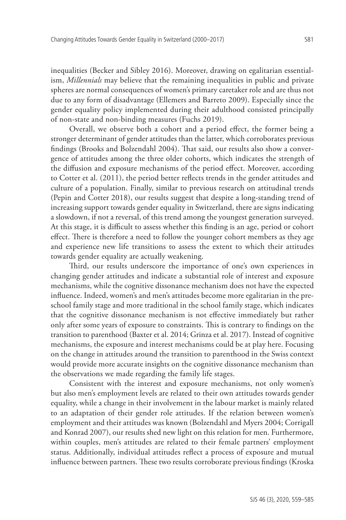inequalities (Becker and Sibley 2016). Moreover, drawing on egalitarian essentialism, *Millennials* may believe that the remaining inequalities in public and private spheres are normal consequences of women's primary caretaker role and are thus not due to any form of disadvantage (Ellemers and Barreto 2009). Especially since the gender equality policy implemented during their adulthood consisted principally of non-state and non-binding measures (Fuchs 2019).

Overall, we observe both a cohort and a period effect, the former being a stronger determinant of gender attitudes than the latter, which corroborates previous findings (Brooks and Bolzendahl 2004). That said, our results also show a convergence of attitudes among the three older cohorts, which indicates the strength of the diffusion and exposure mechanisms of the period effect. Moreover, according to Cotter et al. (2011), the period better reflects trends in the gender attitudes and culture of a population. Finally, similar to previous research on attitudinal trends (Pepin and Cotter 2018), our results suggest that despite a long-standing trend of increasing support towards gender equality in Switzerland, there are signs indicating a slowdown, if not a reversal, of this trend among the youngest generation surveyed. At this stage, it is difficult to assess whether this finding is an age, period or cohort effect. There is therefore a need to follow the younger cohort members as they age and experience new life transitions to assess the extent to which their attitudes towards gender equality are actually weakening.

Third, our results underscore the importance of one's own experiences in changing gender attitudes and indicate a substantial role of interest and exposure mechanisms, while the cognitive dissonance mechanism does not have the expected influence. Indeed, women's and men's attitudes become more egalitarian in the preschool family stage and more traditional in the school family stage, which indicates that the cognitive dissonance mechanism is not effective immediately but rather only after some years of exposure to constraints. This is contrary to findings on the transition to parenthood (Baxter et al. 2014; Grinza et al. 2017). Instead of cognitive mechanisms, the exposure and interest mechanisms could be at play here. Focusing on the change in attitudes around the transition to parenthood in the Swiss context would provide more accurate insights on the cognitive dissonance mechanism than the observations we made regarding the family life stages.

Consistent with the interest and exposure mechanisms, not only women's but also men's employment levels are related to their own attitudes towards gender equality, while a change in their involvement in the labour market is mainly related to an adaptation of their gender role attitudes. If the relation between women's employment and their attitudes was known (Bolzendahl and Myers 2004; Corrigall and Konrad 2007), our results shed new light on this relation for men. Furthermore, within couples, men's attitudes are related to their female partners' employment status. Additionally, individual attitudes reflect a process of exposure and mutual influence between partners. These two results corroborate previous findings (Kroska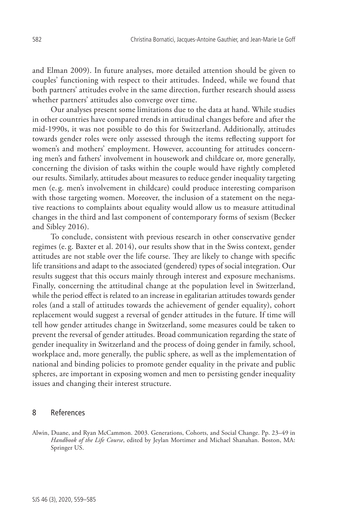and Elman 2009). In future analyses, more detailed attention should be given to couples' functioning with respect to their attitudes. Indeed, while we found that both partners' attitudes evolve in the same direction, further research should assess whether partners' attitudes also converge over time.

Our analyses present some limitations due to the data at hand. While studies in other countries have compared trends in attitudinal changes before and after the mid-1990s, it was not possible to do this for Switzerland. Additionally, attitudes towards gender roles were only assessed through the items reflecting support for women's and mothers' employment. However, accounting for attitudes concerning men's and fathers' involvement in housework and childcare or, more generally, concerning the division of tasks within the couple would have rightly completed our results. Similarly, attitudes about measures to reduce gender inequality targeting men (e. g. men's involvement in childcare) could produce interesting comparison with those targeting women. Moreover, the inclusion of a statement on the negative reactions to complaints about equality would allow us to measure attitudinal changes in the third and last component of contemporary forms of sexism (Becker and Sibley 2016).

To conclude, consistent with previous research in other conservative gender regimes (e. g. Baxter et al. 2014), our results show that in the Swiss context, gender attitudes are not stable over the life course. They are likely to change with specific life transitions and adapt to the associated (gendered) types of social integration. Our results suggest that this occurs mainly through interest and exposure mechanisms. Finally, concerning the attitudinal change at the population level in Switzerland, while the period effect is related to an increase in egalitarian attitudes towards gender roles (and a stall of attitudes towards the achievement of gender equality), cohort replacement would suggest a reversal of gender attitudes in the future. If time will tell how gender attitudes change in Switzerland, some measures could be taken to prevent the reversal of gender attitudes. Broad communication regarding the state of gender inequality in Switzerland and the process of doing gender in family, school, workplace and, more generally, the public sphere, as well as the implementation of national and binding policies to promote gender equality in the private and public spheres, are important in exposing women and men to persisting gender inequality issues and changing their interest structure.

## 8 References

Alwin, Duane, and Ryan McCammon. 2003. Generations, Cohorts, and Social Change. Pp. 23–49 in *Handbook of the Life Course*, edited by Jeylan Mortimer and Michael Shanahan. Boston, MA: Springer US.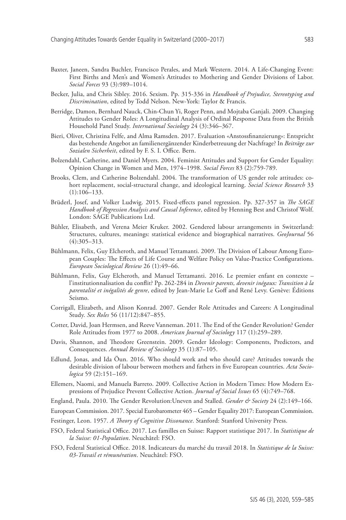- Baxter, Janeen, Sandra Buchler, Francisco Perales, and Mark Western. 2014. A Life-Changing Event: First Births and Men's and Women's Attitudes to Mothering and Gender Divisions of Labor. *Social Forces* 93 (3):989–1014.
- Becker, Julia, and Chris Sibley. 2016. Sexism. Pp. 315-336 in *Handbook of Prejudice, Stereotyping and Discrimination*, edited by Todd Nelson. New-York: Taylor & Francis.
- Berridge, Damon, Bernhard Nauck, Chin-Chun Yi, Roger Penn, and Mojtaba Ganjali. 2009. Changing Attitudes to Gender Roles: A Longitudinal Analysis of Ordinal Response Data from the British Household Panel Study. *International Sociology* 24 (3):346–367.
- Bieri, Oliver, Christina Felfe, and Alma Ramsden. 2017. Evaluation «Anstossfinanzierung»: Entspricht das bestehende Angebot an familienergänzender Kinderbetreuung der Nachfrage? In *Beiträge zur Sozialen Sicherheit*, edited by F. S. I. Office. Bern.
- Bolzendahl, Catherine, and Daniel Myers. 2004. Feminist Attitudes and Support for Gender Equality: Opinion Change in Women and Men, 1974–1998. *Social Forces* 83 (2):759-789.
- Brooks, Clem, and Catherine Bolzendahl. 2004. The transformation of US gender role attitudes: cohort replacement, social-structural change, and ideological learning. *Social Science Research* 33 (1):106–133.
- Brüderl, Josef, and Volker Ludwig. 2015. Fixed-effects panel regression. Pp. 327-357 in *The SAGE Handbook of Regression Analysis and Causal Inference*, edited by Henning Best and Christof Wolf. London: SAGE Publications Ltd.
- Bühler, Elisabeth, and Verena Meier Kruker. 2002. Gendered labour arrangements in Switzerland: Structures, cultures, meanings: statistical evidence and biographical narratives. *GeoJournal* 56 (4):305–313.
- Bühlmann, Felix, Guy Elcheroth, and Manuel Tettamanti. 2009. The Division of Labour Among European Couples: The Effects of Life Course and Welfare Policy on Value-Practice Configurations. *European Sociological Review* 26 (1):49–66.
- Bühlmann, Felix, Guy Elcheroth, and Manuel Tettamanti. 2016. Le premier enfant en contexte l'institutionnalisation du conflit? Pp. 262-284 in *Devenir parents, devenir inégaux: Transition à la parentalité et inégalités de genre*, edited by Jean-Marie Le Goff and René Levy. Genève: Éditions Seismo.
- Corrigall, Elizabeth, and Alison Konrad. 2007. Gender Role Attitudes and Careers: A Longitudinal Study. *Sex Roles* 56 (11/12):847–855.
- Cotter, David, Joan Hermsen, and Reeve Vanneman. 2011. The End of the Gender Revolution? Gender Role Attitudes from 1977 to 2008. *American Journal of Sociology* 117 (1):259–289.
- Davis, Shannon, and Theodore Greenstein. 2009. Gender Ideology: Components, Predictors, and Consequences. *Annual Review of Sociology* 35 (1):87–105.
- Edlund, Jonas, and Ida Öun. 2016. Who should work and who should care? Attitudes towards the desirable division of labour between mothers and fathers in five European countries. *Acta Sociologica* 59 (2):151–169.
- Ellemers, Naomi, and Manuela Barreto. 2009. Collective Action in Modern Times: How Modern Expressions of Prejudice Prevent Collective Action. *Journal of Social Issues* 65 (4):749–768.
- England, Paula. 2010. The Gender Revolution:Uneven and Stalled. *Gender & Society* 24 (2):149–166.
- European Commission. 2017. Special Eurobarometer 465 Gender Equality 2017: European Commission.
- Festinger, Leon. 1957. *A Theory of Cognitive Dissonance*. Stanford: Stanford University Press.
- FSO, Federal Statistical Office. 2017. Les familles en Suisse: Rapport statistique 2017. In *Statistique de la Suisse: 01-Population*. Neuchâtel: FSO.
- FSO, Federal Statistical Office. 2018. Indicateurs du marché du travail 2018. In *Statistique de la Suisse: 03-Travail et rémunération*. Neuchâtel: FSO.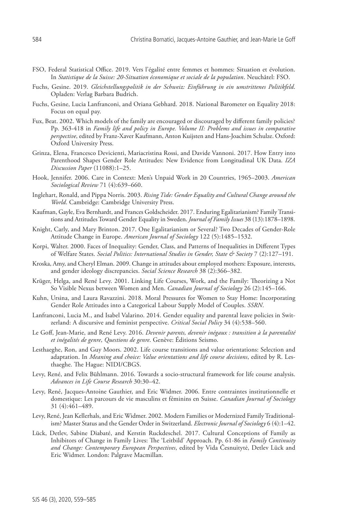- FSO, Federal Statistical Office. 2019. Vers l'égalité entre femmes et hommes: Situation et évolution. In *Statistique de la Suisse: 20-Situation économique et sociale de la population*. Neuchâtel: FSO.
- Fuchs, Gesine. 2019. *Gleichstellungspolitik in der Schweiz: Einführung in ein umstrittenes Politikfeld*. Opladen: Verlag Barbara Budrich.
- Fuchs, Gesine, Lucia Lanfranconi, and Oriana Gebhard. 2018. National Barometer on Equality 2018: Focus on equal pay.
- Fux, Beat. 2002. Which models of the family are encouraged or discouraged by different family policies? Pp. 363-418 in *Family life and policy in Europe. Volume II: Problems and issues in comparative perspective*, edited by Franz-Xaver Kaufmann, Anton Kuijsten and Hans-Joachim Schulze. Oxford: Oxford University Press.
- Grinza, Elena, Francesco Devicienti, Mariacristina Rossi, and Davide Vannoni. 2017. How Entry into Parenthood Shapes Gender Role Attitudes: New Evidence from Longitudinal UK Data. *IZA Discussion Paper* (11088):1–25.
- Hook, Jennifer. 2006. Care in Context: Men's Unpaid Work in 20 Countries, 1965–2003. *American Sociological Review* 71 (4):639–660.
- Inglehart, Ronald, and Pippa Norris. 2003. *Rising Tide: Gender Equality and Cultural Change around the World*. Cambridge: Cambridge University Press.
- Kaufman, Gayle, Eva Bernhardt, and Frances Goldscheider. 2017. Enduring Egalitarianism? Family Transitions and Attitudes Toward Gender Equality in Sweden. *Journal of Family Issues* 38 (13):1878–1898.
- Knight, Carly, and Mary Brinton. 2017. One Egalitarianism or Several? Two Decades of Gender-Role Attitude Change in Europe. *American Journal of Sociology* 122 (5):1485–1532.
- Korpi, Walter. 2000. Faces of Inequality: Gender, Class, and Patterns of Inequalities in Different Types of Welfare States. *Social Politics: International Studies in Gender, State & Society* 7 (2):127–191.
- Kroska, Amy, and Cheryl Elman. 2009. Change in attitudes about employed mothers: Exposure, interests, and gender ideology discrepancies. *Social Science Research* 38 (2):366–382.
- Krüger, Helga, and René Levy. 2001. Linking Life Courses, Work, and the Family: Theorizing a Not So Visible Nexus between Women and Men. *Canadian Journal of Sociology* 26 (2):145–166.
- Kuhn, Ursina, and Laura Ravazzini. 2018. Moral Pressures for Women to Stay Home: Incorporating Gender Role Attitudes into a Categorical Labour Supply Model of Couples. *SSRN*.
- Lanfranconi, Lucia M., and Isabel Valarino. 2014. Gender equality and parental leave policies in Switzerland: A discursive and feminist perspective. *Critical Social Policy* 34 (4):538–560.
- Le Goff, Jean-Marie, and René Levy. 2016. *Devenir parents, devenir inégaux : transition à la parentalité et inégalités de genre*, *Questions de genre*. Genève: Éditions Seismo.
- Lesthaeghe, Ron, and Guy Moors. 2002. Life course transitions and value orientations: Selection and adaptation. In *Meaning and choice: Value orientations and life course decisions*, edited by R. Lesthaeghe. The Hague: NIDI/CBGS.
- Levy, René, and Felix Bühlmann. 2016. Towards a socio-structural framework for life course analysis. *Advances in Life Course Research* 30:30–42.
- Levy, René, Jacques-Antoine Gauthier, and Eric Widmer. 2006. Entre contraintes institutionnelle et domestique: Les parcours de vie masculins et féminins en Suisse. *Canadian Journal of Sociology* 31 (4):461–489.
- Levy, René, Jean Kellerhals, and Eric Widmer. 2002. Modern Families or Modernized Family Traditionalism? Master Status and the Gender Order in Switzerland. *Electronic Journal of Sociology* 6 (4):1–42.
- Lück, Detlev, Sabine Diabaté, and Kerstin Ruckdeschel. 2017. Cultural Conceptions of Family as Inhibitors of Change in Family Lives: The 'Leitbild' Approach. Pp. 61-86 in *Family Continuity and Change: Contemporary European Perspectives*, edited by Vida Česnuitytė, Detlev Lück and Eric Widmer. London: Palgrave Macmillan.